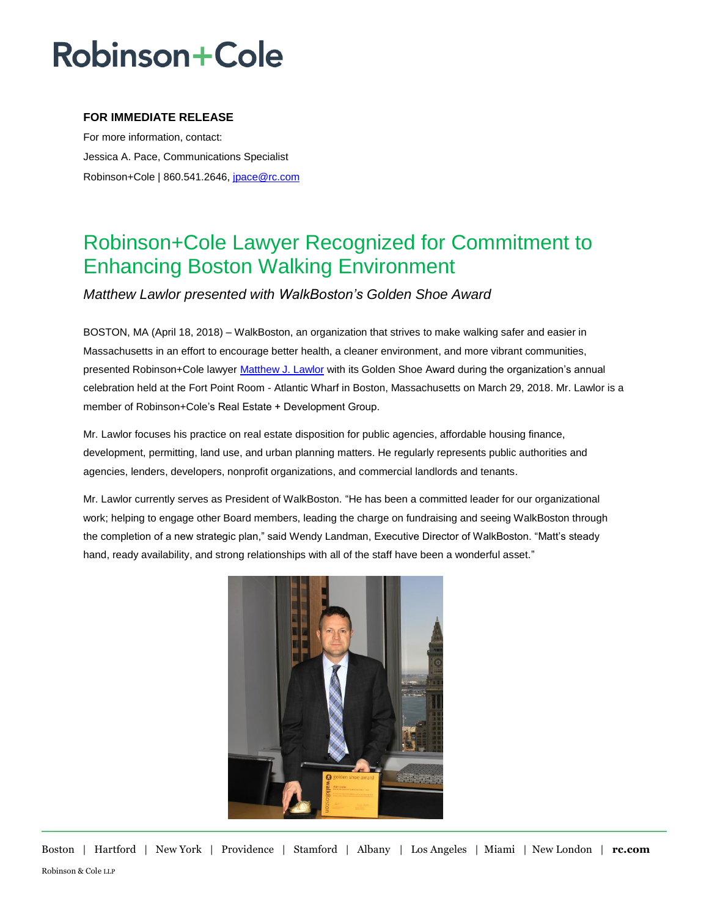## **Robinson+Cole**

#### **FOR IMMEDIATE RELEASE**

For more information, contact: Jessica A. Pace, Communications Specialist Robinson+Cole | 860.541.2646, [jpace@rc.com](mailto:jgagnon@rc.com)

### Robinson+Cole Lawyer Recognized for Commitment to Enhancing Boston Walking Environment

### *Matthew Lawlor presented with WalkBoston's Golden Shoe Award*

BOSTON, MA (April 18, 2018) – WalkBoston, an organization that strives to make walking safer and easier in Massachusetts in an effort to encourage better health, a cleaner environment, and more vibrant communities, presented Robinson+Cole lawyer [Matthew J. Lawlor](http://www.rc.com/people/MatthewJLawlor.cfm) with its Golden Shoe Award during the organization's annual celebration held at the Fort Point Room - Atlantic Wharf in Boston, Massachusetts on March 29, 2018. Mr. Lawlor is a member of Robinson+Cole's Real Estate + Development Group.

Mr. Lawlor focuses his practice on real estate disposition for public agencies, affordable housing finance, development, permitting, land use, and urban planning matters. He regularly represents public authorities and agencies, lenders, developers, nonprofit organizations, and commercial landlords and tenants.

Mr. Lawlor currently serves as President of WalkBoston. "He has been a committed leader for our organizational work; helping to engage other Board members, leading the charge on fundraising and seeing WalkBoston through the completion of a new strategic plan," said Wendy Landman, Executive Director of WalkBoston. "Matt's steady hand, ready availability, and strong relationships with all of the staff have been a wonderful asset."



Boston | Hartford | New York | Providence | Stamford | Albany | Los Angeles | Miami | New London | **rc.com** Robinson & Cole LLP